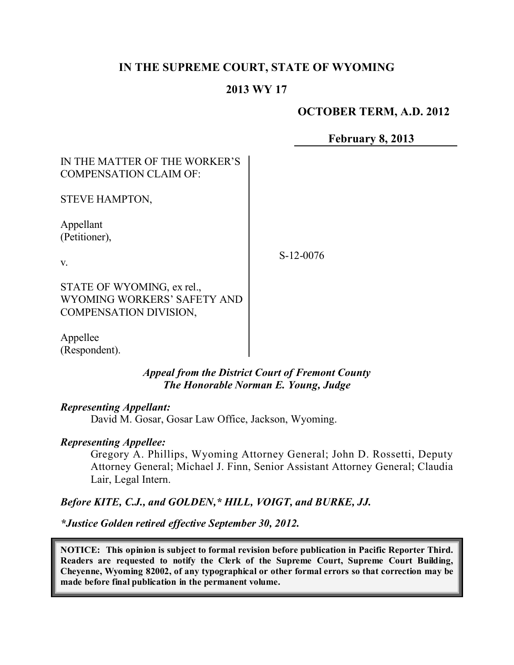# **IN THE SUPREME COURT, STATE OF WYOMING**

### **2013 WY 17**

### **OCTOBER TERM, A.D. 2012**

**February 8, 2013**

# IN THE MATTER OF THE WORKER'S COMPENSATION CLAIM OF:

STEVE HAMPTON,

Appellant (Petitioner),

v.

S-12-0076

STATE OF WYOMING, ex rel., WYOMING WORKERS' SAFETY AND COMPENSATION DIVISION,

Appellee (Respondent).

#### *Appeal from the District Court of Fremont County The Honorable Norman E. Young, Judge*

#### *Representing Appellant:*

David M. Gosar, Gosar Law Office, Jackson, Wyoming.

### *Representing Appellee:*

Gregory A. Phillips, Wyoming Attorney General; John D. Rossetti, Deputy Attorney General; Michael J. Finn, Senior Assistant Attorney General; Claudia Lair, Legal Intern.

# *Before KITE, C.J., and GOLDEN,\* HILL, VOIGT, and BURKE, JJ.*

*\*Justice Golden retired effective September 30, 2012.*

**NOTICE: This opinion is subject to formal revision before publication in Pacific Reporter Third. Readers are requested to notify the Clerk of the Supreme Court, Supreme Court Building, Cheyenne, Wyoming 82002, of any typographical or other formal errors so that correction may be made before final publication in the permanent volume.**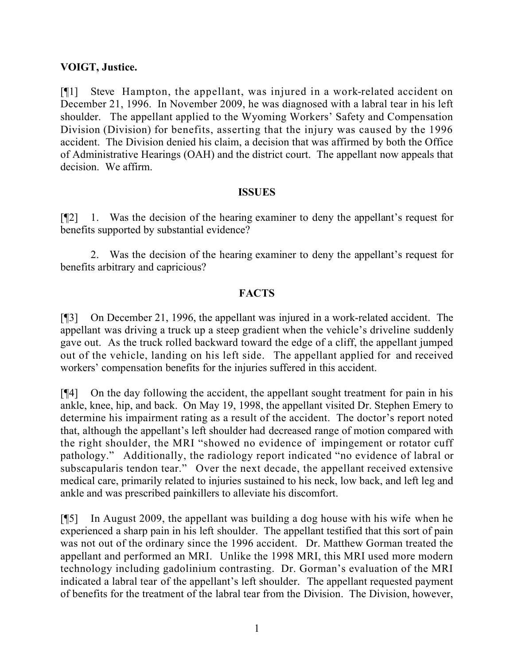### **VOIGT, Justice.**

[¶1] Steve Hampton, the appellant, was injured in a work-related accident on December 21, 1996. In November 2009, he was diagnosed with a labral tear in his left shoulder. The appellant applied to the Wyoming Workers' Safety and Compensation Division (Division) for benefits, asserting that the injury was caused by the 1996 accident. The Division denied his claim, a decision that was affirmed by both the Office of Administrative Hearings (OAH) and the district court. The appellant now appeals that decision. We affirm.

#### **ISSUES**

[¶2] 1. Was the decision of the hearing examiner to deny the appellant's request for benefits supported by substantial evidence?

2. Was the decision of the hearing examiner to deny the appellant's request for benefits arbitrary and capricious?

### **FACTS**

[¶3] On December 21, 1996, the appellant was injured in a work-related accident. The appellant was driving a truck up a steep gradient when the vehicle's driveline suddenly gave out. As the truck rolled backward toward the edge of a cliff, the appellant jumped out of the vehicle, landing on his left side. The appellant applied for and received workers' compensation benefits for the injuries suffered in this accident.

[¶4] On the day following the accident, the appellant sought treatment for pain in his ankle, knee, hip, and back. On May 19, 1998, the appellant visited Dr. Stephen Emery to determine his impairment rating as a result of the accident. The doctor's report noted that, although the appellant's left shoulder had decreased range of motion compared with the right shoulder, the MRI "showed no evidence of impingement or rotator cuff pathology." Additionally, the radiology report indicated "no evidence of labral or subscapularis tendon tear." Over the next decade, the appellant received extensive medical care, primarily related to injuries sustained to his neck, low back, and left leg and ankle and was prescribed painkillers to alleviate his discomfort.

[¶5] In August 2009, the appellant was building a dog house with his wife when he experienced a sharp pain in his left shoulder. The appellant testified that this sort of pain was not out of the ordinary since the 1996 accident. Dr. Matthew Gorman treated the appellant and performed an MRI. Unlike the 1998 MRI, this MRI used more modern technology including gadolinium contrasting. Dr. Gorman's evaluation of the MRI indicated a labral tear of the appellant's left shoulder. The appellant requested payment of benefits for the treatment of the labral tear from the Division. The Division, however,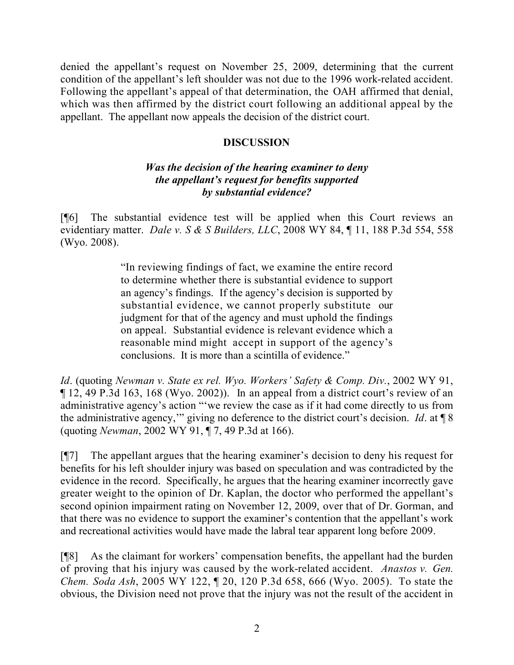denied the appellant's request on November 25, 2009, determining that the current condition of the appellant's left shoulder was not due to the 1996 work-related accident. Following the appellant's appeal of that determination, the OAH affirmed that denial, which was then affirmed by the district court following an additional appeal by the appellant. The appellant now appeals the decision of the district court.

#### **DISCUSSION**

### *Was the decision of the hearing examiner to deny the appellant's request for benefits supported by substantial evidence?*

[¶6] The substantial evidence test will be applied when this Court reviews an evidentiary matter. *Dale v. S & S Builders, LLC*, 2008 WY 84, ¶ 11, 188 P.3d 554, 558 (Wyo. 2008).

> "In reviewing findings of fact, we examine the entire record to determine whether there is substantial evidence to support an agency's findings. If the agency's decision is supported by substantial evidence, we cannot properly substitute our judgment for that of the agency and must uphold the findings on appeal. Substantial evidence is relevant evidence which a reasonable mind might accept in support of the agency's conclusions. It is more than a scintilla of evidence."

*Id*. (quoting *Newman v. State ex rel. Wyo. Workers' Safety & Comp. Div.*, 2002 WY 91, ¶ 12, 49 P.3d 163, 168 (Wyo. 2002)). In an appeal from a district court's review of an administrative agency's action "'we review the case as if it had come directly to us from the administrative agency,'" giving no deference to the district court's decision. *Id*. at ¶ 8 (quoting *Newman*, 2002 WY 91, ¶ 7, 49 P.3d at 166).

[¶7] The appellant argues that the hearing examiner's decision to deny his request for benefits for his left shoulder injury was based on speculation and was contradicted by the evidence in the record. Specifically, he argues that the hearing examiner incorrectly gave greater weight to the opinion of Dr. Kaplan, the doctor who performed the appellant's second opinion impairment rating on November 12, 2009, over that of Dr. Gorman, and that there was no evidence to support the examiner's contention that the appellant's work and recreational activities would have made the labral tear apparent long before 2009.

[¶8] As the claimant for workers' compensation benefits, the appellant had the burden of proving that his injury was caused by the work-related accident. *Anastos v. Gen. Chem. Soda Ash*, 2005 WY 122, ¶ 20, 120 P.3d 658, 666 (Wyo. 2005). To state the obvious, the Division need not prove that the injury was not the result of the accident in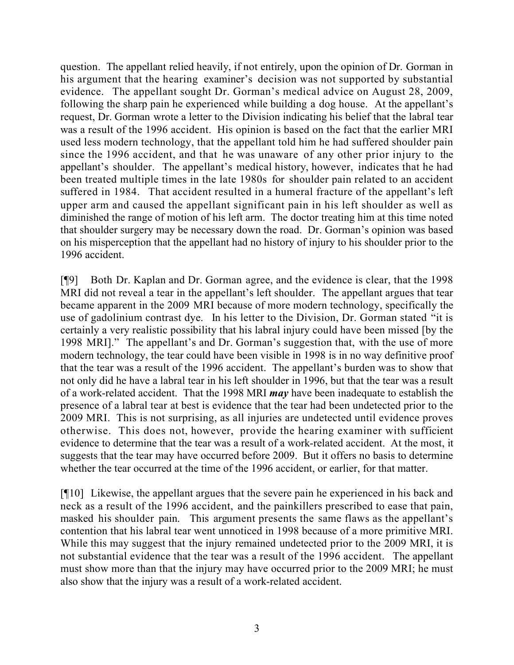question. The appellant relied heavily, if not entirely, upon the opinion of Dr. Gorman in his argument that the hearing examiner's decision was not supported by substantial evidence. The appellant sought Dr. Gorman's medical advice on August 28, 2009, following the sharp pain he experienced while building a dog house. At the appellant's request, Dr. Gorman wrote a letter to the Division indicating his belief that the labral tear was a result of the 1996 accident. His opinion is based on the fact that the earlier MRI used less modern technology, that the appellant told him he had suffered shoulder pain since the 1996 accident, and that he was unaware of any other prior injury to the appellant's shoulder. The appellant's medical history, however, indicates that he had been treated multiple times in the late 1980s for shoulder pain related to an accident suffered in 1984. That accident resulted in a humeral fracture of the appellant's left upper arm and caused the appellant significant pain in his left shoulder as well as diminished the range of motion of his left arm. The doctor treating him at this time noted that shoulder surgery may be necessary down the road. Dr. Gorman's opinion was based on his misperception that the appellant had no history of injury to his shoulder prior to the 1996 accident.

[¶9] Both Dr. Kaplan and Dr. Gorman agree, and the evidence is clear, that the 1998 MRI did not reveal a tear in the appellant's left shoulder. The appellant argues that tear became apparent in the 2009 MRI because of more modern technology, specifically the use of gadolinium contrast dye. In his letter to the Division, Dr. Gorman stated "it is certainly a very realistic possibility that his labral injury could have been missed [by the 1998 MRI]." The appellant's and Dr. Gorman's suggestion that, with the use of more modern technology, the tear could have been visible in 1998 is in no way definitive proof that the tear was a result of the 1996 accident. The appellant's burden was to show that not only did he have a labral tear in his left shoulder in 1996, but that the tear was a result of a work-related accident. That the 1998 MRI *may* have been inadequate to establish the presence of a labral tear at best is evidence that the tear had been undetected prior to the 2009 MRI. This is not surprising, as all injuries are undetected until evidence proves otherwise. This does not, however, provide the hearing examiner with sufficient evidence to determine that the tear was a result of a work-related accident. At the most, it suggests that the tear may have occurred before 2009. But it offers no basis to determine whether the tear occurred at the time of the 1996 accident, or earlier, for that matter.

[¶10] Likewise, the appellant argues that the severe pain he experienced in his back and neck as a result of the 1996 accident, and the painkillers prescribed to ease that pain, masked his shoulder pain. This argument presents the same flaws as the appellant's contention that his labral tear went unnoticed in 1998 because of a more primitive MRI. While this may suggest that the injury remained undetected prior to the 2009 MRI, it is not substantial evidence that the tear was a result of the 1996 accident. The appellant must show more than that the injury may have occurred prior to the 2009 MRI; he must also show that the injury was a result of a work-related accident.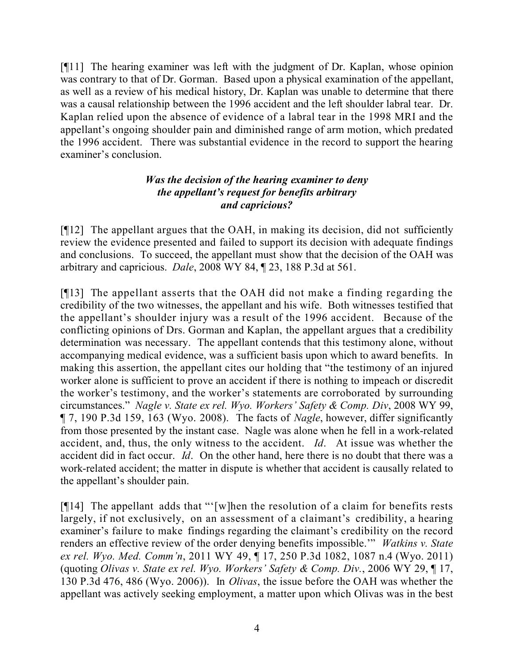[¶11] The hearing examiner was left with the judgment of Dr. Kaplan, whose opinion was contrary to that of Dr. Gorman. Based upon a physical examination of the appellant, as well as a review of his medical history, Dr. Kaplan was unable to determine that there was a causal relationship between the 1996 accident and the left shoulder labral tear. Dr. Kaplan relied upon the absence of evidence of a labral tear in the 1998 MRI and the appellant's ongoing shoulder pain and diminished range of arm motion, which predated the 1996 accident. There was substantial evidence in the record to support the hearing examiner's conclusion.

# *Was the decision of the hearing examiner to deny the appellant's request for benefits arbitrary and capricious?*

[¶12] The appellant argues that the OAH, in making its decision, did not sufficiently review the evidence presented and failed to support its decision with adequate findings and conclusions. To succeed, the appellant must show that the decision of the OAH was arbitrary and capricious. *Dale*, 2008 WY 84, ¶ 23, 188 P.3d at 561.

[¶13] The appellant asserts that the OAH did not make a finding regarding the credibility of the two witnesses, the appellant and his wife. Both witnesses testified that the appellant's shoulder injury was a result of the 1996 accident. Because of the conflicting opinions of Drs. Gorman and Kaplan, the appellant argues that a credibility determination was necessary. The appellant contends that this testimony alone, without accompanying medical evidence, was a sufficient basis upon which to award benefits. In making this assertion, the appellant cites our holding that "the testimony of an injured worker alone is sufficient to prove an accident if there is nothing to impeach or discredit the worker's testimony, and the worker's statements are corroborated by surrounding circumstances." *Nagle v. State ex rel. Wyo. Workers' Safety & Comp. Div*, 2008 WY 99, ¶ 7, 190 P.3d 159, 163 (Wyo. 2008). The facts of *Nagle*, however, differ significantly from those presented by the instant case. Nagle was alone when he fell in a work-related accident, and, thus, the only witness to the accident. *Id*. At issue was whether the accident did in fact occur. *Id*. On the other hand, here there is no doubt that there was a work-related accident; the matter in dispute is whether that accident is causally related to the appellant's shoulder pain.

[¶14] The appellant adds that "'[w]hen the resolution of a claim for benefits rests largely, if not exclusively, on an assessment of a claimant's credibility, a hearing examiner's failure to make findings regarding the claimant's credibility on the record renders an effective review of the order denying benefits impossible.'" *Watkins v. State ex rel. Wyo. Med. Comm'n*, 2011 WY 49, ¶ 17, 250 P.3d 1082, 1087 n.4 (Wyo. 2011) (quoting *Olivas v. State ex rel. Wyo. Workers' Safety & Comp. Div.*, 2006 WY 29, ¶ 17, 130 P.3d 476, 486 (Wyo. 2006)). In *Olivas*, the issue before the OAH was whether the appellant was actively seeking employment, a matter upon which Olivas was in the best